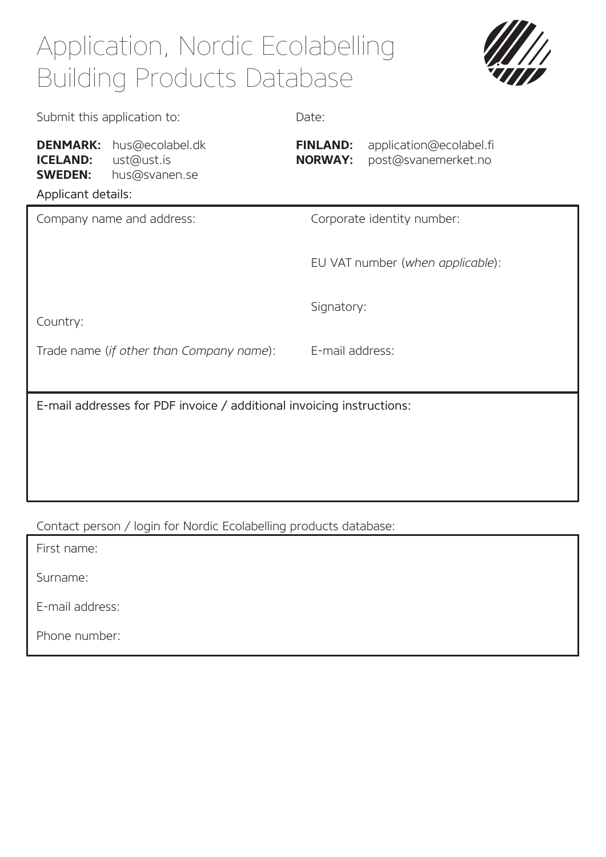## Application, Nordic Ecolabelling Building Products Database



| Submit this application to:                                                |                                                | Date:                             |                                                |
|----------------------------------------------------------------------------|------------------------------------------------|-----------------------------------|------------------------------------------------|
| <b>DENMARK:</b><br><b>ICELAND:</b><br><b>SWEDEN:</b><br>Applicant details: | hus@ecolabel.dk<br>ust@ust.is<br>hus@svanen.se | <b>FINLAND:</b><br><b>NORWAY:</b> | application@ecolabel.fi<br>post@svanemerket.no |
| Company name and address:                                                  |                                                | Corporate identity number:        |                                                |
|                                                                            |                                                | EU VAT number (when applicable):  |                                                |
| Country:                                                                   |                                                | Signatory:                        |                                                |
| Trade name (if other than Company name):                                   |                                                | E-mail address:                   |                                                |
| E-mail addresses for PDF invoice / additional invoicing instructions:      |                                                |                                   |                                                |
|                                                                            |                                                |                                   |                                                |
|                                                                            |                                                |                                   |                                                |
|                                                                            |                                                |                                   |                                                |

Contact person / login for Nordic Ecolabelling products database:

First name:

Surname:

E-mail address:

Phone number: